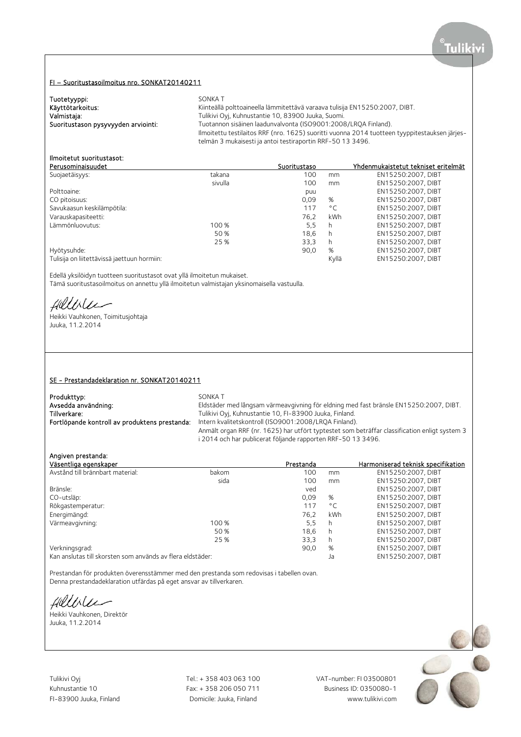# FI – Suoritustasoilmoitus nro. SONKAT20140211

| Tuotetyyppi:                        | SONKA T                                                                                       |
|-------------------------------------|-----------------------------------------------------------------------------------------------|
| Käyttötarkoitus:                    | Kiinteällä polttoaineella lämmitettävä varaava tulisija EN15250:2007, DIBT.                   |
| Valmistaja:                         | Tulikivi Oyi, Kuhnustantie 10, 83900 Juuka, Suomi.                                            |
| Suoritustason pysyvyyden arviointi: | Tuotannon sisäinen laadunvalvonta (ISO9001:2008/LROA Finland).                                |
|                                     | Ilmoitettu testilaitos RRF (nro. 1625) suoritti vuonna 2014 tuotteen tyyppitestauksen järjes- |
|                                     | telmän 3 mukaisesti ja antoi testiraportin RRF-50 13 3496.                                    |

# Ilmoitetut suoritustasot:

| Perusominaisuudet                           |         | Suoritustaso |              | Yhdenmukaistetut tekniset eritelmät |
|---------------------------------------------|---------|--------------|--------------|-------------------------------------|
| Suojaetäisyys:                              | takana  | 100          | mm           | EN15250:2007, DIBT                  |
|                                             | sivulla | 100          | mm           | EN15250:2007, DIBT                  |
| Polttoaine:                                 |         | puu          |              | EN15250:2007, DIBT                  |
| CO pitoisuus:                               |         | 0.09         | %            | EN15250:2007, DIBT                  |
| Savukaasun keskilämpötila:                  |         | 117          | $^{\circ}$ C | EN15250:2007, DIBT                  |
| Varauskapasiteetti:                         |         | 76.2         | kWh          | EN15250:2007. DIBT                  |
| Lämmönluovutus:                             | 100 %   | 5,5          | h            | EN15250:2007, DIBT                  |
|                                             | 50 %    | 18.6         | h.           | EN15250:2007. DIBT                  |
|                                             | 25 %    | 33,3         | h            | EN15250:2007. DIBT                  |
| Hyötysuhde:                                 |         | 90,0         | %            | EN15250:2007, DIBT                  |
| Tulisija on liitettävissä jaettuun hormiin: |         |              | Kyllä        | EN15250:2007. DIBT                  |
|                                             |         |              |              |                                     |

Edellä yksilöidyn tuotteen suoritustasot ovat yllä ilmoitetun mukaiset.

Tämä suoritustasoilmoitus on annettu yllä ilmoitetun valmistajan yksinomaisella vastuulla.

fillble

Heikki Vauhkonen, Toimitusjohtaja Juuka, 11.2.2014

### SE - Prestandadeklaration nr. SONKAT20140211

| Produkttyp:                                   | SONKA T                                                                                       |
|-----------------------------------------------|-----------------------------------------------------------------------------------------------|
| Avsedda användning:                           | Eldstäder med långsam värmeavgivning för eldning med fast bränsle EN15250:2007, DIBT.         |
| Tillverkare:                                  | Tulikivi Oyj, Kuhnustantie 10, FI-83900 Juuka, Finland.                                       |
| Fortlöpande kontroll av produktens prestanda: | Intern kvalitetskontroll (ISO9001:2008/LROA Finland).                                         |
|                                               | Anmält organ RRF (nr. 1625) har utfört typtestet som beträffar classification enligt system 3 |
|                                               | i 2014 och har publicerat följande rapporten RRF-50 13 3496.                                  |

# Angiven prestanda:

| Väsentliga egenskaper                                      |       | Prestanda |              | Harmoniserad teknisk specifikation |
|------------------------------------------------------------|-------|-----------|--------------|------------------------------------|
| Avstånd till brännbart material:                           | bakom | 100       | mm           | EN15250:2007, DIBT                 |
|                                                            | sida  | 100       | mm           | EN15250:2007, DIBT                 |
| Bränsle:                                                   |       | ved       |              | EN15250:2007, DIBT                 |
| CO-utsläp:                                                 |       | 0.09      | %            | EN15250:2007, DIBT                 |
| Rökgastemperatur:                                          |       | 117       | $^{\circ}$ C | EN15250:2007. DIBT                 |
| Energimängd:                                               |       | 76.2      | kWh          | EN15250:2007, DIBT                 |
| Värmeavgivning:                                            | 100 % | 5,5       | h            | EN15250:2007, DIBT                 |
|                                                            | 50 %  | 18.6      | h            | EN15250:2007, DIBT                 |
|                                                            | 25 %  | 33,3      | h            | EN15250:2007, DIBT                 |
| Verkningsgrad:                                             |       | 90.0      | %            | EN15250:2007, DIBT                 |
| Kan anslutas till skorsten som används av flera eldstäder: |       |           | Ja           | EN15250:2007, DIBT                 |

Prestandan för produkten överensstämmer med den prestanda som redovisas i tabellen ovan. Denna prestandadeklaration utfärdas på eget ansvar av tillverkaren.

fillble

Heikki Vauhkonen, Direktör Juuka, 11.2.2014

Tulikivi Oyj Tel.: + 358 403 063 100 VAT-number: FI 03500801

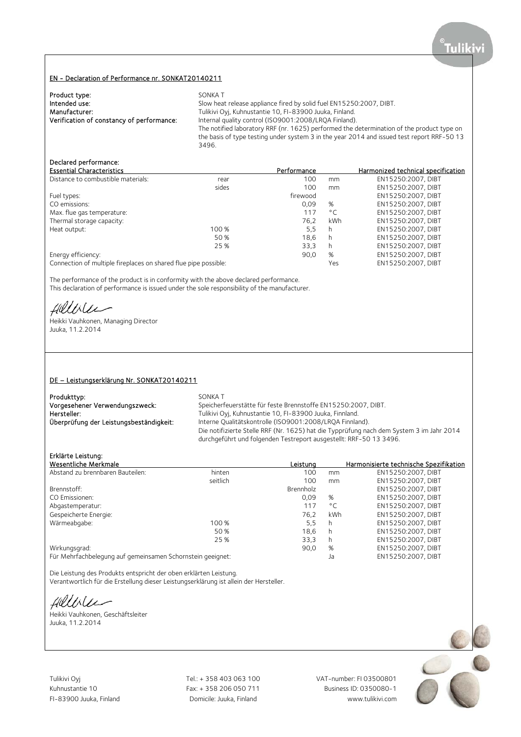### EN - Declaration of Performance nr. SONKAT20140211

| Product type:                             | SONKA T                                                                                    |
|-------------------------------------------|--------------------------------------------------------------------------------------------|
| Intended use:                             | Slow heat release appliance fired by solid fuel EN15250:2007, DIBT.                        |
| Manufacturer:                             | Tulikivi Oyj, Kuhnustantie 10, FI-83900 Juuka, Finland.                                    |
| Verification of constancy of performance: | Internal quality control (ISO9001:2008/LROA Finland).                                      |
|                                           | The notified laboratory RRF (nr. 1625) performed the determination of the product type on  |
|                                           | the basis of type testing under system 3 in the year 2014 and issued test report RRF-50 13 |
|                                           | 3496.                                                                                      |

# Declared performance:

| <b>Essential Characteristics</b>                                |       | Performance |              | Harmonized technical specification |
|-----------------------------------------------------------------|-------|-------------|--------------|------------------------------------|
| Distance to combustible materials:                              | rear  | 100         | mm           | EN15250:2007. DIBT                 |
|                                                                 | sides | 100         | mm           | EN15250:2007, DIBT                 |
| Fuel types:                                                     |       | firewood    |              | EN15250:2007, DIBT                 |
| CO emissions:                                                   |       | 0.09        | %            | EN15250:2007, DIBT                 |
| Max. flue gas temperature:                                      |       | 117         | $^{\circ}$ C | EN15250:2007, DIBT                 |
| Thermal storage capacity:                                       |       | 76.2        | kWh          | EN15250:2007. DIBT                 |
| Heat output:                                                    | 100 % | 5.5         | h            | EN15250:2007, DIBT                 |
|                                                                 | 50 %  | 18.6        | h            | EN15250:2007, DIBT                 |
|                                                                 | 25 %  | 33,3        | h            | EN15250:2007, DIBT                 |
| Energy efficiency:                                              |       | 90,0        | %            | EN15250:2007, DIBT                 |
| Connection of multiple fireplaces on shared flue pipe possible: |       |             | Yes          | EN15250:2007. DIBT                 |

The performance of the product is in conformity with the above declared performance. This declaration of performance is issued under the sole responsibility of the manufacturer.

fillilee

Heikki Vauhkonen, Managing Director Juuka, 11.2.2014

### DE – Leistungserklärung Nr. SONKAT20140211

| Produkttyp:                             | SONKA T                                                                                  |
|-----------------------------------------|------------------------------------------------------------------------------------------|
| Vorgesehener Verwendungszweck:          | Speicherfeuerstätte für feste Brennstoffe EN15250:2007, DIBT.                            |
| Hersteller:                             | Tulikivi Oyj, Kuhnustantie 10, FI-83900 Juuka, Finnland.                                 |
| Überprüfung der Leistungsbeständigkeit: | Interne Qualitätskontrolle (ISO9001:2008/LROA Finnland).                                 |
|                                         | Die notifizierte Stelle RRF (Nr. 1625) hat die Typprüfung nach dem System 3 im Jahr 2014 |
|                                         | durchgeführt und folgenden Testreport ausgestellt: RRF-50 13 3496.                       |

# Erklärte Leistung:

| Wesentliche Merkmale                                       |          | Leistung  |              | Harmonisierte technische Spezifikation |
|------------------------------------------------------------|----------|-----------|--------------|----------------------------------------|
| Abstand zu brennbaren Bauteilen:                           | hinten   | 100       | mm           | EN15250:2007, DIBT                     |
|                                                            | seitlich | 100       | mm           | EN15250:2007, DIBT                     |
| Brennstoff:                                                |          | Brennholz |              | EN15250:2007, DIBT                     |
| CO Emissionen:                                             |          | 0.09      | %            | EN15250:2007, DIBT                     |
| Abgastemperatur:                                           |          | 117       | $^{\circ}$ C | EN15250:2007. DIBT                     |
| Gespeicherte Energie:                                      |          | 76.2      | kWh          | EN15250:2007, DIBT                     |
| Wärmeabgabe:                                               | 100 %    | 5.5       | h            | EN15250:2007, DIBT                     |
|                                                            | 50 %     | 18.6      | h            | EN15250:2007. DIBT                     |
|                                                            | 25 %     | 33,3      | h            | EN15250:2007, DIBT                     |
| Wirkungsgrad:                                              |          | 90,0      | %            | EN15250:2007, DIBT                     |
| Für Mehrfachbelegung auf gemeinsamen Schornstein geeignet: |          |           | Ja           | EN15250:2007. DIBT                     |

Die Leistung des Produkts entspricht der oben erklärten Leistung.

Verantwortlich für die Erstellung dieser Leistungserklärung ist allein der Hersteller.

fillble

Heikki Vauhkonen, Geschäftsleiter Juuka, 11.2.2014

Tulikivi Oyj Tel.: + 358 403 063 100 VAT-number: FI 03500801

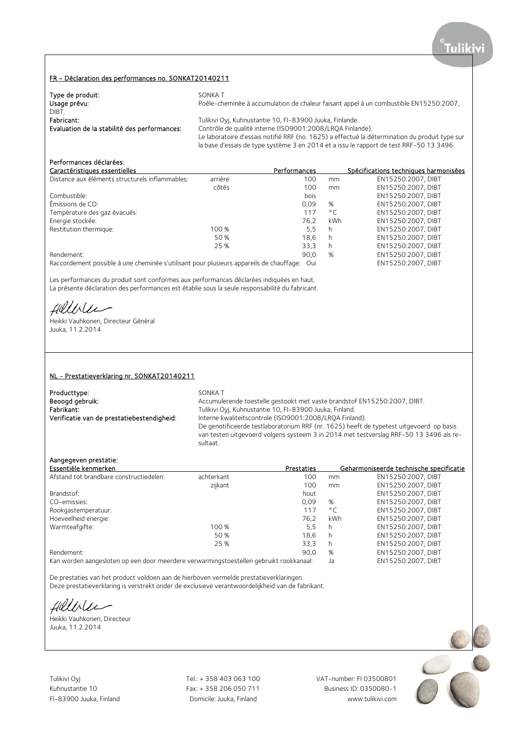### FR - Déclaration des performances no. SONKAT20140211

| Type de produit:                             | SONKA T                                                                                                                                                                                   |
|----------------------------------------------|-------------------------------------------------------------------------------------------------------------------------------------------------------------------------------------------|
| Usage prévu:                                 | Poêle-cheminée à accumulation de chaleur faisant appel à un combustible EN15250:2007,                                                                                                     |
| DIBT.                                        |                                                                                                                                                                                           |
| Fabricant:                                   | Tulikivi Oyj, Kuhnustantie 10, FI-83900 Juuka, Finlande.                                                                                                                                  |
| Evaluation de la stabilité des performances: | Contrôle de qualité interne (ISO9001:2008/LROA Finlande).                                                                                                                                 |
|                                              | Le laboratoire d'essais notifié RRF (no. 1625) a effectué la détermination du produit type sur<br>la base d'essais de type système 3 en 2014 et a issu le rapport de test RRF-50 13 3496. |

# Performances déclarées:

| Fel I UI III di ICES decidi ees.                |         |              |              |                                       |
|-------------------------------------------------|---------|--------------|--------------|---------------------------------------|
| Caractéristiques essentielles                   |         | Performances |              | Spécifications techniques harmonisées |
| Distance aux éléments structurels inflammables: | arrière | 100          | mm           | EN15250:2007. DIBT                    |
|                                                 | côtés   | 100          | mm           | EN15250:2007, DIBT                    |
| Combustible:                                    |         | bois         |              | EN15250:2007, DIBT                    |
| Émissions de CO:                                |         | 0.09         | %            | EN15250:2007, DIBT                    |
| Température des gaz évacués:                    |         | 117          | $^{\circ}$ C | EN15250:2007, DIBT                    |
| Energie stockée:                                |         | 76.2         | kWh          | EN15250:2007. DIBT                    |
| Restitution thermique:                          | 100 %   | 5.5          | h            | EN15250:2007, DIBT                    |
|                                                 | 50 %    | 18.6         | h            | EN15250:2007, DIBT                    |
|                                                 | 25 %    | 33.3         | h            | EN15250:2007. DIBT                    |
| Rendement:                                      |         | 90.0         | %            | EN15250:2007. DIBT                    |
|                                                 |         |              |              |                                       |

Raccordement possible à une cheminée s'utilisant pour plusieurs appareils de chauffage: Oui EN15250:2007, DIBT

Les performances du produit sont conformes aux performances déclarées indiquées en haut. La présente déclaration des performances est établie sous la seule responsabilité du fabricant.

fillisee

Heikki Vauhkonen, Directeur Général Juuka, 11.2.2014

### NL - Prestatieverklaring nr. SONKAT20140211

| Producttype:                               | SONKA T                                                                                 |
|--------------------------------------------|-----------------------------------------------------------------------------------------|
| Beoogd gebruik:                            | Accumulerende toestelle gestookt met vaste brandstof EN15250:2007, DIBT.                |
| Fabrikant:                                 | Tulikivi Oyj, Kuhnustantie 10, FI-83900 Juuka, Finland.                                 |
| Verificatie van de prestatiebestendigheid: | Interne kwaliteitscontrole (ISO9001:2008/LRQA Finland).                                 |
|                                            | De genotificeerde testlaboratorium RRF (nr. 1625) heeft de typetest uitgevoerd op basis |
|                                            | van testen uitgevoerd volgens systeem 3 in 2014 met testverslag RRF-50 13 3496 als re-  |
|                                            | sultaat.                                                                                |

## Aangegeven prestatie:

| Essentiële kenmerken                    |            | Prestaties |              | Geharmoniseerde technische specificatie |
|-----------------------------------------|------------|------------|--------------|-----------------------------------------|
| Afstand tot brandbare constructiedelen: | achterkant | 100        | mm           | EN15250:2007, DIBT                      |
|                                         | zijkant    | 100        | mm           | EN15250:2007, DIBT                      |
| Brandstof:                              |            | hout       |              | EN15250:2007, DIBT                      |
| CO-emissies:                            |            | 0.09       | %            | EN15250:2007, DIBT                      |
| Rookgastemperatuur:                     |            | 117        | $^{\circ}$ C | EN15250:2007. DIBT                      |
| Hoeveelheid energie:                    |            | 76.2       | kWh          | EN15250:2007, DIBT                      |
| Warmteafgifte:                          | 100 %      | 5.5        | h            | EN15250:2007, DIBT                      |
|                                         | 50 %       | 18.6       | h            | EN15250:2007, DIBT                      |
|                                         | 25 %       | 33,3       | h            | EN15250:2007. DIBT                      |
| Rendement:                              |            | 90,0       | %            | EN15250:2007, DIBT                      |

Kan worden aangesloten op een door meerdere verwarmingstoestellen gebruikt rookkanaal: Ja EN15250:2007, DIBT

De prestaties van het product voldoen aan de hierboven vermelde prestatieverklaringen.

Deze prestatieverklaring is verstrekt onder de exclusieve verantwoordelijkheid van de fabrikant.

fillirler

Heikki Vauhkonen, Directeur Juuka, 11.2.2014

Tulikivi Oyj Tel.: + 358 403 063 100 VAT-number: FI 03500801

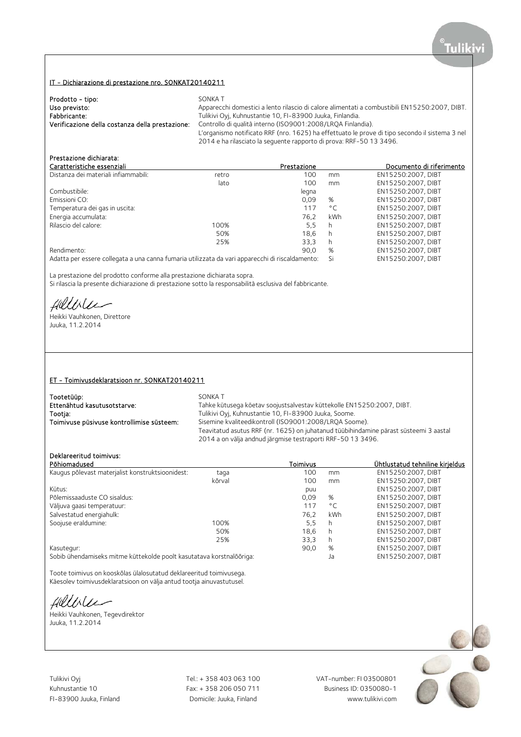# IT - Dichiarazione di prestazione nro. SONKAT20140211

| Prodotto - tipo:                                | SONKA T                                                                                                                                                               |
|-------------------------------------------------|-----------------------------------------------------------------------------------------------------------------------------------------------------------------------|
| Uso previsto:                                   | Apparecchi domestici a lento rilascio di calore alimentati a combustibili EN15250:2007, DIBT.                                                                         |
| Fabbricante:                                    | Tulikivi Oyi, Kuhnustantie 10, FI-83900 Juuka, Finlandia.                                                                                                             |
| Verificazione della costanza della prestazione: | Controllo di qualità interno (ISO9001:2008/LROA Finlandia).                                                                                                           |
|                                                 | L'organismo notificato RRF (nro. 1625) ha effettuato le prove di tipo secondo il sistema 3 nel<br>2014 e ha rilasciato la sequente rapporto di prova: RRF-50 13 3496. |

# Prestazione dichiarata:

| Caratteristiche essenziali                                                                                     |       | Prestazione |              | Documento di riferimento |
|----------------------------------------------------------------------------------------------------------------|-------|-------------|--------------|--------------------------|
| Distanza dei materiali infiammabili:                                                                           | retro | 100         | mm           | EN15250:2007, DIBT       |
|                                                                                                                | lato  | 100         | mm           | EN15250:2007, DIBT       |
| Combustibile:                                                                                                  |       | legna       |              | EN15250:2007. DIBT       |
| Emissioni CO:                                                                                                  |       | 0.09        | %            | EN15250:2007, DIBT       |
| Temperatura dei gas in uscita:                                                                                 |       | 117         | $^{\circ}$ C | EN15250:2007, DIBT       |
| Energia accumulata:                                                                                            |       | 76.2        | kWh          | EN15250:2007. DIBT       |
| Rilascio del calore:                                                                                           | 100%  | 5,5         | h            | EN15250:2007, DIBT       |
|                                                                                                                | 50%   | 18.6        | h.           | EN15250:2007, DIBT       |
|                                                                                                                | 25%   | 33.3        | h            | EN15250:2007, DIBT       |
| Rendimento:                                                                                                    |       | 90.0        | %            | EN15250:2007. DIBT       |
| A democratic common della campa della companyazione dell'aggiorne della companyazione di distributo della comp |       |             |              | FULLEDED COOR DIDT       |

Adatta per essere collegata a una canna fumaria utilizzata da vari apparecchi di riscaldamento: Si EN15250:2007, DIBT

La prestazione del prodotto conforme alla prestazione dichiarata sopra.

Si rilascia la presente dichiarazione di prestazione sotto la responsabilità esclusiva del fabbricante.

Hillblu

Heikki Vauhkonen, Direttore Juuka, 11.2.2014

### ET - Toimivusdeklaratsioon nr. SONKAT20140211

| Tootetüüp:                                | SONKA T                                                                               |
|-------------------------------------------|---------------------------------------------------------------------------------------|
| Ettenähtud kasutusotstarve:               | Tahke kütusega köetav soojustsalvestav küttekolle EN15250:2007, DIBT.                 |
| Tootja:                                   | Tulikivi Oyi, Kuhnustantie 10, FI-83900 Juuka, Soome.                                 |
| Toimivuse püsivuse kontrollimise süsteem: | Sisemine kvaliteedikontroll (ISO9001:2008/LROA Soome).                                |
|                                           | Teavitatud asutus RRF (nr. 1625) on juhatanud tüübihindamine pärast süsteemi 3 aastal |
|                                           | 2014 a on välja andnud järgmise testraporti RRF-50 13 3496.                           |

# Deklareeritud toimivus:

| Põhiomadused                                                         |        | Toimivus |              | Ühtlustatud tehniline kirjeldus |
|----------------------------------------------------------------------|--------|----------|--------------|---------------------------------|
| Kaugus põlevast materjalist konstruktsioonidest:                     | taga   | 100      | mm           | EN15250:2007, DIBT              |
|                                                                      | kõrval | 100      | mm           | EN15250:2007. DIBT              |
| Kütus:                                                               |        | puu      |              | EN15250:2007. DIBT              |
| Põlemissaaduste CO sisaldus:                                         |        | 0.09     | %            | EN15250:2007, DIBT              |
| Väljuva gaasi temperatuur:                                           |        | 117      | $^{\circ}$ C | EN15250:2007. DIBT              |
| Salvestatud energiahulk:                                             |        | 76.2     | kWh          | EN15250:2007, DIBT              |
| Soojuse eraldumine:                                                  | 100%   | 5,5      | h            | EN15250:2007, DIBT              |
|                                                                      | 50%    | 18.6     | h            | EN15250:2007, DIBT              |
|                                                                      | 25%    | 33,3     | h            | EN15250:2007, DIBT              |
| Kasutegur:                                                           |        | 90.0     | %            | EN15250:2007, DIBT              |
| Sobib ühendamiseks mitme küttekolde poolt kasutatava korstnalõõriga: |        |          | Ja           | EN15250:2007, DIBT              |

Toote toimivus on kooskõlas ülalosutatud deklareeritud toimivusega. Käesolev toimivusdeklaratsioon on välja antud tootja ainuvastutusel.

fillble

Heikki Vauhkonen, Tegevdirektor Juuka, 11.2.2014

Tulikivi Oyj Tel.: + 358 403 063 100 VAT-number: FI 03500801

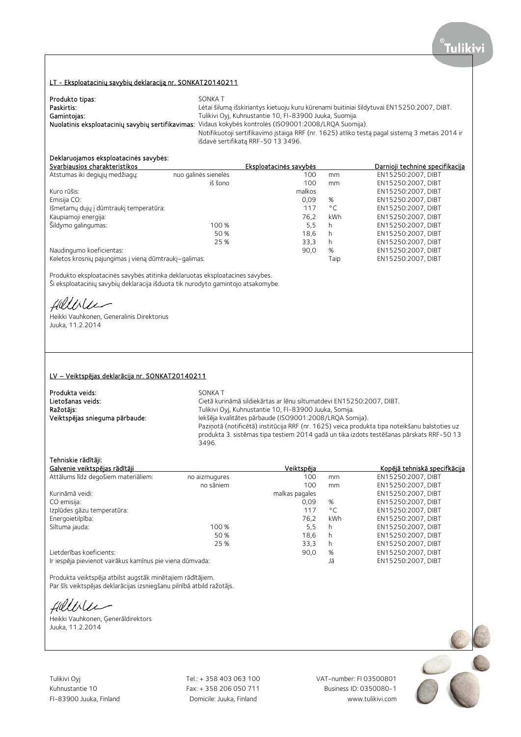# LT - Eksploatacinių savybių deklaraciją nr. SONKAT20140211

| Produkto tipas: | SONKA T                                                                                                 |
|-----------------|---------------------------------------------------------------------------------------------------------|
| Paskirtis:      | Lėtai šilumą išskiriantys kietuoju kuru kūrenami buitiniai šildytuvai EN15250:2007, DIBT.               |
| Gamintojas:     | Tulikivi Oyj, Kuhnustantie 10, FI-83900 Juuka, Suomija.                                                 |
|                 | Nuolatinis eksploatacinių savybių sertifikavimas: Vidaus kokybės kontrolės (ISO9001:2008/LRQA Suomija). |
|                 | Notifikuotoji sertifikavimo įstaiga RRF (nr. 1625) atliko testą pagal sistemą 3 metais 2014 ir          |
|                 | išdavė sertifikatą RRF-50 13 3496.                                                                      |

# Deklaruojamos eksploatacinės savybės:

|                      | Eksploatacinės savybės                                |              | <u>Darnioii techninė specifikacija</u> |
|----------------------|-------------------------------------------------------|--------------|----------------------------------------|
| nuo galinės sienelės | 100                                                   | mm           | EN15250:2007, DIBT                     |
| iš šono              | 100                                                   | mm           | EN15250:2007, DIBT                     |
|                      | malkos                                                |              | EN15250:2007, DIBT                     |
|                      | 0.09                                                  | %            | EN15250:2007, DIBT                     |
|                      | 117                                                   | $^{\circ}$ C | EN15250:2007, DIBT                     |
|                      | 76.2                                                  | kWh          | EN15250:2007, DIBT                     |
| 100 %                | 5.5                                                   | h            | EN15250:2007, DIBT                     |
| 50 %                 | 18.6                                                  | h            | EN15250:2007. DIBT                     |
| 25 %                 | 33,3                                                  | h            | EN15250:2007, DIBT                     |
|                      | 90.0                                                  | %            | EN15250:2007, DIBT                     |
|                      |                                                       | Taip         | EN15250:2007. DIBT                     |
|                      | Keletos krosnių pajungimas į vieną dūmtraukį-galimas: |              |                                        |

Produkto eksploatacinės savybės atitinka deklaruotas eksploatacines savybes. Ši eksploatacinių savybių deklaracija išduota tik nurodyto gamintojo atsakomybe.

fillblee

Heikki Vauhkonen, Generalinis Direktorius Juuka, 11.2.2014

### LV – Veiktspējas deklarācija nr. SONKAT20140211

| Produkta veids:                | SONKA T                                                                                       |
|--------------------------------|-----------------------------------------------------------------------------------------------|
| Lietošanas veids:              | Cietā kurināmā sildiekārtas ar lēnu siltumatdevi EN15250:2007, DIBT.                          |
| Ražotājs:                      | Tulikivi Oyj, Kuhnustantie 10, FI-83900 Juuka, Somija.                                        |
| Veiktspējas snieguma pārbaude: | Iekšēja kvalitātes pārbaude (ISO9001:2008/LRQA Somija).                                       |
|                                | Paziņotā (notificētā) institūcija RRF (nr. 1625) veica produkta tipa noteikšanu balstoties uz |
|                                | produkta 3. sistēmas tipa testiem 2014 gadā un tika izdots testēšanas pārskats RRF-50 13      |
|                                | 3496.                                                                                         |

# Tehniskie rādītāji:

|               |                                                          |              | Kopējā tehniskā specifkācija |
|---------------|----------------------------------------------------------|--------------|------------------------------|
| no aizmugures | 100                                                      | mm           | EN15250:2007, DIBT           |
| no sāniem     | 100                                                      | mm           | EN15250:2007. DIBT           |
|               | malkas pagales                                           |              | EN15250:2007, DIBT           |
|               | 0.09                                                     | %            | EN15250:2007, DIBT           |
|               | 117                                                      | $^{\circ}$ C | EN15250:2007. DIBT           |
|               | 76.2                                                     | kWh          | EN15250:2007, DIBT           |
| 100 %         | 5,5                                                      | h            | EN15250:2007. DIBT           |
| 50 %          | 18.6                                                     | h            | EN15250:2007, DIBT           |
| 25 %          | 33,3                                                     | h            | EN15250:2007, DIBT           |
|               | 90,0                                                     | %            | EN15250:2007, DIBT           |
|               |                                                          | Jā           | EN15250:2007, DIBT           |
|               | Ir iespēja pievienot vairākus kamīnus pie viena dūmvada: | Veiktspēja   |                              |

Produkta veiktspēja atbilst augstāk minētajiem rādītājiem. Par šīs veiktspējas deklarācijas izsniegšanu pilnībā atbild ražotājs.

Hellile

Heikki Vauhkonen, Ģenerāldirektors Juuka, 11.2.2014

Tulikivi Oyj Tel.: + 358 403 063 100 VAT-number: FI 03500801

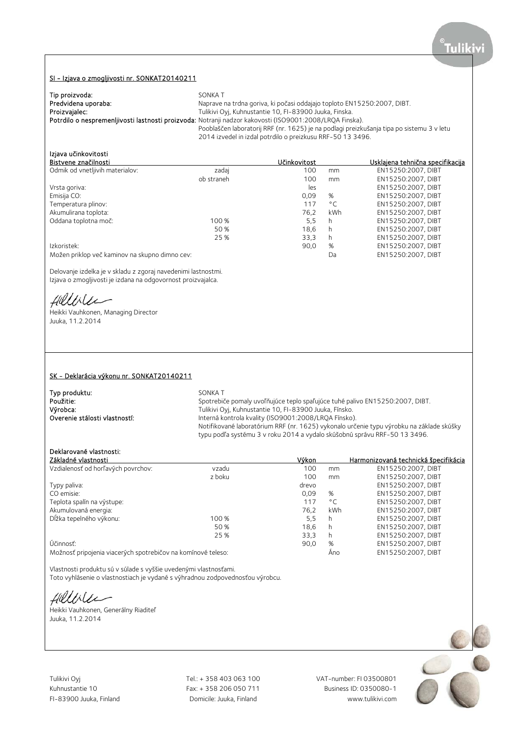# Tulik

### SI - Izjava o zmogljivosti nr. SONKAT20140211

| Tip proizvoda:      | SONKA T                                                                                                 |
|---------------------|---------------------------------------------------------------------------------------------------------|
| Predvidena uporaba: | Naprave na trdna goriva, ki počasi oddajajo toploto EN15250:2007, DIBT.                                 |
| Proizvajalec:       | Tulikivi Oyi, Kuhnustantie 10, FI-83900 Juuka, Finska.                                                  |
|                     | Potrdilo o nespremenljivosti lastnosti proizvoda: Notranji nadzor kakovosti (ISO9001:2008/LRQA Finska). |
|                     | Pooblaščen laboratorij RRF (nr. 1625) je na podlagi preizkušanja tipa po sistemu 3 v letu               |
|                     | 2014 izvedel in izdal potrdilo o preizkusu RRF-50 13 3496.                                              |

# Izjava učinkovitosti<br>Pistvane značilnasti

| Bistvene značilnosti                           |            | Učinkovitost |              | Usklajena tehnična specifikacija |
|------------------------------------------------|------------|--------------|--------------|----------------------------------|
| Odmik od vnetljivih materialov:                | zadaj      | 100          | mm           | EN15250:2007, DIBT               |
|                                                | ob straneh | 100          | mm           | EN15250:2007, DIBT               |
| Vrsta goriva:                                  |            | les          |              | EN15250:2007, DIBT               |
| Emisija CO:                                    |            | 0.09         | %            | EN15250:2007. DIBT               |
| Temperatura plinov:                            |            | 117          | $^{\circ}$ C | EN15250:2007, DIBT               |
| Akumulirana toplota:                           |            | 76.2         | kWh          | EN15250:2007. DIBT               |
| Oddana toplotna moč:                           | 100 %      | 5.5          | h            | EN15250:2007, DIBT               |
|                                                | 50%        | 18.6         | h            | EN15250:2007, DIBT               |
|                                                | 25 %       | 33,3         | h            | EN15250:2007, DIBT               |
| Izkoristek:                                    |            | 90.0         | %            | EN15250:2007. DIBT               |
| Možen priklop več kaminov na skupno dimno cev: |            |              | Da           | EN15250:2007, DIBT               |

Delovanje izdelka je v skladu z zgoraj navedenimi lastnostmi. Izjava o zmogljivosti je izdana na odgovornost proizvajalca.

Hillville

Heikki Vauhkonen, Managing Director Juuka, 11.2.2014

### SK - Deklarácia výkonu nr. SONKAT20140211

| Typ produktu:                 | SONKA T                                                                                  |
|-------------------------------|------------------------------------------------------------------------------------------|
| Použitie:                     | Spotrebiče pomaly uvoľňujúce teplo spaľujúce tuhé palivo EN15250:2007, DIBT.             |
| Výrobca:                      | Tulikivi Oyi, Kuhnustantie 10, FI-83900 Juuka, Fínsko.                                   |
| Overenie stálosti vlastností: | Interná kontrola kvality (ISO9001:2008/LROA Fínsko).                                     |
|                               | Notifikované laboratórium RRF (nr. 1625) vykonalo určenie typu výrobku na základe skúšky |
|                               | typu podľa systému 3 v roku 2014 a vydalo skúšobnú správu RRF-50 13 3496.                |

# Deklarované vlastnosti:

| Základné vlastnosti                                          |        | Výkon |              | Harmonizovaná technická špecifikácia |
|--------------------------------------------------------------|--------|-------|--------------|--------------------------------------|
| Vzdialenosť od horľavých povrchov:                           | vzadu  | 100   | mm           | EN15250:2007, DIBT                   |
|                                                              | z boku | 100   | mm           | EN15250:2007, DIBT                   |
| Typy paliva:                                                 |        | drevo |              | EN15250:2007. DIBT                   |
| CO emisie:                                                   |        | 0.09  | %            | EN15250:2007, DIBT                   |
| Teplota spalín na výstupe:                                   |        | 117   | $^{\circ}$ C | EN15250:2007. DIBT                   |
| Akumulovaná energia:                                         |        | 76.2  | kWh          | EN15250:2007, DIBT                   |
| Dĺžka tepelného výkonu:                                      | 100 %  | 5.5   | h            | EN15250:2007, DIBT                   |
|                                                              | 50 %   | 18.6  | h            | EN15250:2007. DIBT                   |
|                                                              | 25 %   | 33,3  | h            | EN15250:2007, DIBT                   |
| Účinnosť:                                                    |        | 90,0  | %            | EN15250:2007, DIBT                   |
| Možnosť pripojenia viacerých spotrebičov na komínové teleso: |        |       | Ano          | EN15250:2007, DIBT                   |

Vlastnosti produktu sú v súlade s vyššie uvedenými vlastnosťami.

Toto vyhlásenie o vlastnostiach je vydané s výhradnou zodpovednosťou výrobcu.

Helliler

Heikki Vauhkonen, Generálny Riaditeľ Juuka, 11.2.2014



FI-83900 Juuka, Finland Domicile: Juuka, Finland www.tulikivi.com